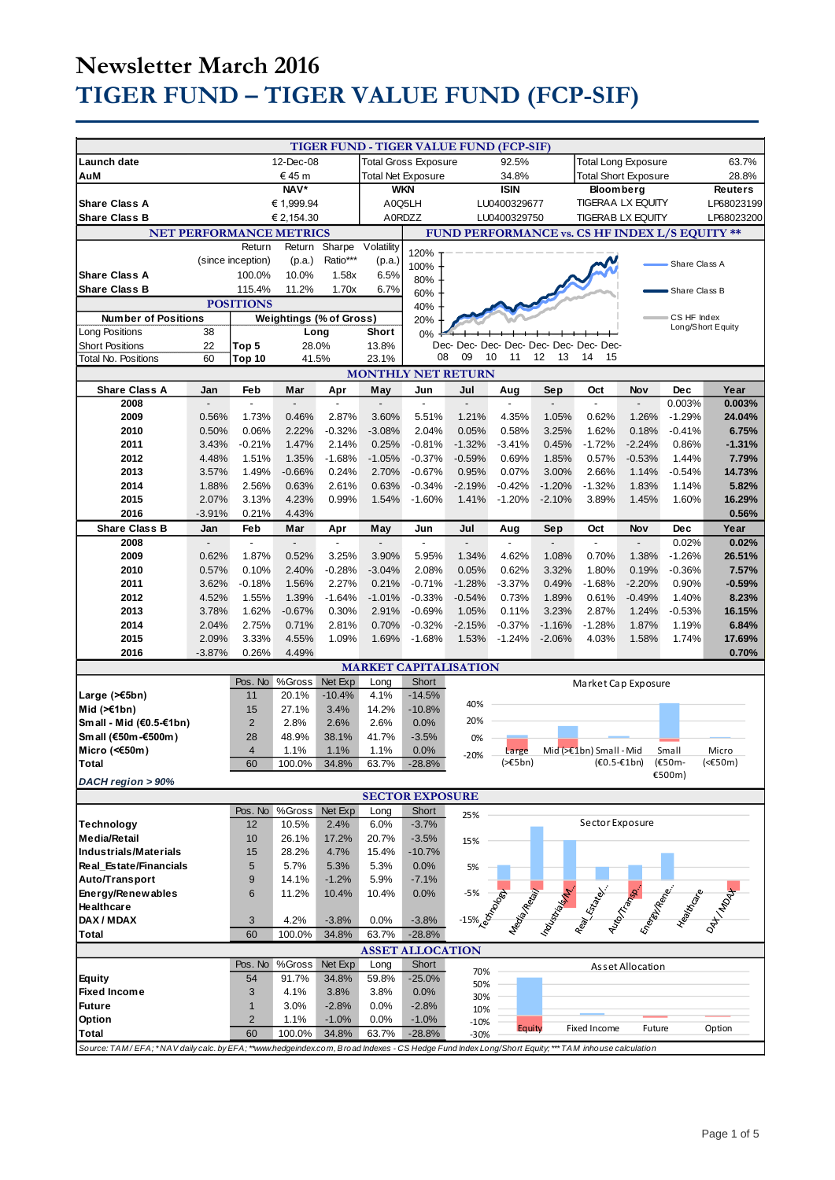# **Newsletter March 2016 TIGER FUND – TIGER VALUE FUND (FCP-SIF)**

|                                                                                                                                                    |           |                   |                                |                             |                |                         | TIGER FUND - TIGER VALUE FUND (FCP-SIF) |                          |                             |                                                |                  |               |                   |
|----------------------------------------------------------------------------------------------------------------------------------------------------|-----------|-------------------|--------------------------------|-----------------------------|----------------|-------------------------|-----------------------------------------|--------------------------|-----------------------------|------------------------------------------------|------------------|---------------|-------------------|
| Launch date                                                                                                                                        | 12-Dec-08 |                   |                                | <b>Total Gross Exposure</b> |                |                         | 92.5%                                   |                          | <b>Total Long Exposure</b>  |                                                |                  | 63.7%         |                   |
|                                                                                                                                                    |           |                   |                                |                             |                |                         | 34.8%                                   |                          | <b>Total Short Exposure</b> |                                                |                  | 28.8%         |                   |
| €45 m<br>AuM                                                                                                                                       |           |                   | <b>Total Net Exposure</b>      |                             |                |                         |                                         |                          |                             |                                                |                  |               |                   |
| <b>NAV</b> *                                                                                                                                       |           |                   | <b>WKN</b>                     |                             |                | <b>ISIN</b>             |                                         | <b>Bloom berg</b>        |                             |                                                | <b>Reuters</b>   |               |                   |
| <b>Share Class A</b><br>€ 1,999.94                                                                                                                 |           |                   | A0Q5LH                         |                             |                | LU0400329677            |                                         | <b>TIGERAA LX EQUITY</b> |                             |                                                | LP68023199       |               |                   |
| <b>Share Class B</b>                                                                                                                               |           |                   | € 2,154.30                     |                             | A0RDZZ         |                         |                                         | LU0400329750             |                             | <b>TIGERAB LX EQUITY</b>                       |                  |               | LP68023200        |
|                                                                                                                                                    |           |                   |                                |                             |                |                         |                                         |                          |                             |                                                |                  |               |                   |
|                                                                                                                                                    |           |                   | <b>NET PERFORMANCE METRICS</b> |                             |                |                         |                                         |                          |                             | FUND PERFORMANCE vs. CS HF INDEX L/S EQUITY ** |                  |               |                   |
|                                                                                                                                                    |           | Return            | Return                         | Sharpe                      | Volatility     | 120%                    |                                         |                          |                             |                                                |                  |               |                   |
|                                                                                                                                                    |           | (since inception) | (p.a.)                         | Ratio***                    | (p.a.)         |                         |                                         |                          |                             |                                                |                  |               |                   |
|                                                                                                                                                    |           |                   |                                |                             |                | 100%                    |                                         |                          |                             |                                                |                  | Share Class A |                   |
| <b>Share Class A</b>                                                                                                                               |           | 100.0%            | 10.0%                          | 1.58x                       | 6.5%           | 80%                     |                                         |                          |                             |                                                |                  |               |                   |
| <b>Share Class B</b>                                                                                                                               |           | 115.4%            | 11.2%                          | 1.70x                       | 6.7%           | 60%                     |                                         |                          |                             |                                                |                  | Share Class B |                   |
|                                                                                                                                                    |           | <b>POSITIONS</b>  |                                |                             |                | 40%                     |                                         |                          |                             |                                                |                  |               |                   |
| <b>Number of Positions</b>                                                                                                                         |           |                   | <b>Weightings (% of Gross)</b> |                             |                |                         |                                         |                          |                             |                                                |                  | CS HF Index   |                   |
|                                                                                                                                                    |           |                   |                                |                             |                | 20%                     |                                         |                          |                             |                                                |                  |               | Long/Short Equity |
| Long Positions                                                                                                                                     | 38        |                   | Long                           |                             | Short          | 0%                      |                                         |                          |                             |                                                |                  |               |                   |
| <b>Short Positions</b>                                                                                                                             | 22        | Top 5             | 28.0%                          |                             | 13.8%          |                         |                                         |                          |                             | Dec- Dec- Dec- Dec- Dec- Dec- Dec- Dec-        |                  |               |                   |
| <b>Total No. Positions</b>                                                                                                                         | 60        | Top 10            | 41.5%                          |                             | 23.1%          | 08                      | 09<br>10                                | 11                       | 12<br>13                    | 14<br>15                                       |                  |               |                   |
| <b>MONTHLY NET RETURN</b>                                                                                                                          |           |                   |                                |                             |                |                         |                                         |                          |                             |                                                |                  |               |                   |
|                                                                                                                                                    |           |                   |                                |                             |                |                         |                                         |                          |                             |                                                |                  |               |                   |
| <b>Share Class A</b>                                                                                                                               | Jan       | Feb               | Mar                            | Apr                         | May            | Jun                     | Jul                                     | Aug                      | Sep                         | Oct                                            | Nov              | <b>Dec</b>    | Year              |
| 2008                                                                                                                                               |           |                   |                                |                             |                |                         |                                         |                          |                             |                                                |                  | 0.003%        | 0.003%            |
| 2009                                                                                                                                               | 0.56%     | 1.73%             | 0.46%                          | 2.87%                       | 3.60%          | 5.51%                   | 1.21%                                   | 4.35%                    | 1.05%                       | 0.62%                                          | 1.26%            | $-1.29%$      | 24.04%            |
| 2010                                                                                                                                               | 0.50%     | 0.06%             | 2.22%                          | $-0.32%$                    | $-3.08%$       | 2.04%                   | 0.05%                                   | 0.58%                    | 3.25%                       | 1.62%                                          | 0.18%            | $-0.41%$      | 6.75%             |
|                                                                                                                                                    |           |                   |                                |                             |                | $-0.81%$                |                                         |                          |                             |                                                |                  |               | $-1.31%$          |
| 2011                                                                                                                                               | 3.43%     | $-0.21%$          | 1.47%                          | 2.14%                       | 0.25%          |                         | $-1.32%$                                | $-3.41%$                 | 0.45%                       | $-1.72%$                                       | $-2.24%$         | 0.86%         |                   |
| 2012                                                                                                                                               | 4.48%     | 1.51%             | 1.35%                          | $-1.68%$                    | $-1.05%$       | $-0.37%$                | $-0.59%$                                | 0.69%                    | 1.85%                       | 0.57%                                          | $-0.53%$         | 1.44%         | 7.79%             |
| 2013                                                                                                                                               | 3.57%     | 1.49%             | $-0.66%$                       | 0.24%                       | 2.70%          | $-0.67%$                | 0.95%                                   | 0.07%                    | 3.00%                       | 2.66%                                          | 1.14%            | $-0.54%$      | 14.73%            |
| 2014                                                                                                                                               | 1.88%     | 2.56%             | 0.63%                          | 2.61%                       | 0.63%          | $-0.34%$                | $-2.19%$                                | $-0.42%$                 | $-1.20%$                    | $-1.32%$                                       | 1.83%            | 1.14%         | 5.82%             |
| 2015                                                                                                                                               | 2.07%     | 3.13%             | 4.23%                          | 0.99%                       | 1.54%          | $-1.60%$                | 1.41%                                   | $-1.20%$                 | $-2.10%$                    | 3.89%                                          | 1.45%            | 1.60%         | 16.29%            |
|                                                                                                                                                    |           |                   |                                |                             |                |                         |                                         |                          |                             |                                                |                  |               |                   |
| 2016                                                                                                                                               | $-3.91%$  | 0.21%             | 4.43%                          |                             |                |                         |                                         |                          |                             |                                                |                  |               | 0.56%             |
| <b>Share Class B</b>                                                                                                                               | Jan       | Feb               | Mar                            | Apr                         | May            | Jun                     | Jul                                     | Aug                      | Sep                         | Oct                                            | Nov              | <b>Dec</b>    | Year              |
| 2008                                                                                                                                               |           | $\overline{a}$    | $\overline{a}$                 |                             | $\overline{a}$ | $\overline{a}$          | $\overline{a}$                          | ÷,                       | $\blacksquare$              | $\overline{a}$                                 | $\overline{a}$   | 0.02%         | 0.02%             |
|                                                                                                                                                    |           |                   |                                |                             |                |                         |                                         |                          |                             |                                                |                  |               |                   |
| 2009                                                                                                                                               | 0.62%     | 1.87%             | 0.52%                          | 3.25%                       | 3.90%          | 5.95%                   | 1.34%                                   | 4.62%                    | 1.08%                       | 0.70%                                          | 1.38%            | $-1.26%$      | 26.51%            |
| 2010                                                                                                                                               | 0.57%     | 0.10%             | 2.40%                          | $-0.28%$                    | $-3.04%$       | 2.08%                   | 0.05%                                   | 0.62%                    | 3.32%                       | 1.80%                                          | 0.19%            | $-0.36%$      | 7.57%             |
| 2011                                                                                                                                               | 3.62%     | $-0.18%$          | 1.56%                          | 2.27%                       | 0.21%          | $-0.71%$                | $-1.28%$                                | $-3.37%$                 | 0.49%                       | $-1.68%$                                       | $-2.20%$         | 0.90%         | $-0.59%$          |
| 2012                                                                                                                                               | 4.52%     | 1.55%             | 1.39%                          | $-1.64%$                    | $-1.01%$       | $-0.33%$                | $-0.54%$                                | 0.73%                    | 1.89%                       | 0.61%                                          | $-0.49%$         | 1.40%         | 8.23%             |
| 2013                                                                                                                                               |           |                   |                                |                             |                | $-0.69%$                |                                         |                          |                             |                                                |                  |               |                   |
|                                                                                                                                                    | 3.78%     | 1.62%             | $-0.67%$                       | 0.30%                       | 2.91%          |                         | 1.05%                                   | 0.11%                    | 3.23%                       | 2.87%                                          | 1.24%            | $-0.53%$      | 16.15%            |
| 2014                                                                                                                                               | 2.04%     | 2.75%             | 0.71%                          | 2.81%                       | 0.70%          | $-0.32%$                | $-2.15%$                                | $-0.37%$                 | $-1.16%$                    | $-1.28%$                                       | 1.87%            | 1.19%         | 6.84%             |
| 2015                                                                                                                                               | 2.09%     | 3.33%             | 4.55%                          | 1.09%                       | 1.69%          | $-1.68%$                | 1.53%                                   | $-1.24%$                 | $-2.06%$                    | 4.03%                                          | 1.58%            | 1.74%         | 17.69%            |
| 2016                                                                                                                                               | $-3.87%$  | 0.26%             | 4.49%                          |                             |                |                         |                                         |                          |                             |                                                |                  |               | 0.70%             |
|                                                                                                                                                    |           |                   |                                |                             |                |                         | <b>MARKET CAPITALISATION</b>            |                          |                             |                                                |                  |               |                   |
|                                                                                                                                                    |           |                   |                                |                             |                |                         |                                         |                          |                             |                                                |                  |               |                   |
|                                                                                                                                                    |           |                   | Pos. No %Gross                 | Net Exp                     | Long           | Short                   |                                         |                          |                             | Market Cap Exposure                            |                  |               |                   |
| Large $($ > $\epsilon$ 5bn)                                                                                                                        |           | 11                | 20.1%                          | $-10.4%$                    | 4.1%           | $-14.5%$                |                                         |                          |                             |                                                |                  |               |                   |
| Mid $(\ge 1$ bn)                                                                                                                                   |           | 15                | 27.1%                          | 3.4%                        | 14.2%          | $-10.8%$                | 40%                                     |                          |                             |                                                |                  |               |                   |
| Small - Mid (€0.5-€1bn)                                                                                                                            |           | $\overline{2}$    | 2.8%                           | 2.6%                        | 2.6%           | 0.0%                    | 20%                                     |                          |                             |                                                |                  |               |                   |
|                                                                                                                                                    |           |                   |                                |                             |                |                         |                                         |                          |                             |                                                |                  |               |                   |
| Small (€50m-€500m)                                                                                                                                 |           | 28                | 48.9%                          | 38.1%                       | 41.7%          | $-3.5%$                 | 0%                                      |                          |                             |                                                |                  |               |                   |
| Micro (< $60$ m)                                                                                                                                   |           | $\overline{4}$    | 1.1%                           | 1.1%                        | 1.1%           | 0.0%                    | $-20%$                                  | Large                    |                             | Mid (>€1bn) Small - Mid                        |                  | Small         | Micro             |
| Total                                                                                                                                              |           | 60                |                                | 100.0% 34.8%                |                | 63.7% -28.8%            |                                         | (>€5bn)                  |                             | $(E0.5 - E1$ bn)                               |                  | (€50m-        | $(50m)$           |
| DACH region > 90%                                                                                                                                  |           |                   |                                |                             |                |                         |                                         |                          |                             |                                                |                  | €500m)        |                   |
|                                                                                                                                                    |           |                   |                                |                             |                |                         |                                         |                          |                             |                                                |                  |               |                   |
|                                                                                                                                                    |           |                   |                                |                             |                | <b>SECTOR EXPOSURE</b>  |                                         |                          |                             |                                                |                  |               |                   |
|                                                                                                                                                    |           | Pos. No           | %Gross                         | Net Exp                     | Long           | Short                   | 25%                                     |                          |                             |                                                |                  |               |                   |
| Technology                                                                                                                                         |           | 12                | 10.5%                          | 2.4%                        | 6.0%           | $-3.7%$                 |                                         |                          |                             | Sector Exposure                                |                  |               |                   |
| <b>Media/Retail</b>                                                                                                                                |           | 10                | 26.1%                          | 17.2%                       | 20.7%          | $-3.5%$                 | 15%                                     |                          |                             |                                                |                  |               |                   |
| Industrials/Materials                                                                                                                              |           | 15                | 28.2%                          | 4.7%                        | 15.4%          | $-10.7%$                |                                         |                          |                             |                                                |                  |               |                   |
|                                                                                                                                                    |           |                   |                                |                             |                |                         |                                         |                          |                             |                                                |                  |               |                   |
| Real_Estate/Financials                                                                                                                             |           | 5                 | 5.7%                           | 5.3%                        | 5.3%           | 0.0%                    | 5%                                      |                          |                             |                                                |                  |               |                   |
| Auto/Transport                                                                                                                                     |           | 9                 | 14.1%                          | $-1.2%$                     | 5.9%           | $-7.1%$                 |                                         |                          |                             |                                                |                  |               |                   |
| Energy/Renewables                                                                                                                                  |           | 6                 | 11.2%                          | 10.4%                       | 10.4%          | 0.0%                    |                                         |                          |                             |                                                |                  |               |                   |
| Healthcare                                                                                                                                         |           |                   |                                |                             |                |                         |                                         |                          |                             |                                                |                  |               |                   |
| DAX / MDAX                                                                                                                                         |           | 3                 | 4.2%                           | $-3.8%$                     | 0.0%           | $-3.8%$                 |                                         |                          |                             |                                                |                  |               |                   |
|                                                                                                                                                    |           |                   |                                |                             |                |                         | -15% -20 People                         |                          |                             | New York Strategy and Manuscript               |                  |               |                   |
| <b>Total</b>                                                                                                                                       |           | 60                | 100.0%                         | 34.8%                       | 63.7%          | $-28.8%$                |                                         |                          |                             |                                                |                  |               |                   |
|                                                                                                                                                    |           |                   |                                |                             |                | <b>ASSET ALLOCATION</b> |                                         |                          |                             |                                                |                  |               |                   |
|                                                                                                                                                    |           | Pos. No           | %Gross                         | Net Exp                     | Long           | <b>Short</b>            |                                         |                          |                             |                                                | Asset Allocation |               |                   |
| Equity                                                                                                                                             |           | 54                | 91.7%                          | 34.8%                       | 59.8%          | $-25.0%$                | 70%                                     |                          |                             |                                                |                  |               |                   |
| <b>Fixed Income</b>                                                                                                                                |           | 3                 | 4.1%                           | 3.8%                        | 3.8%           | 0.0%                    | 50%                                     |                          |                             |                                                |                  |               |                   |
|                                                                                                                                                    |           |                   |                                |                             |                |                         | 30%                                     |                          |                             |                                                |                  |               |                   |
| <b>Future</b>                                                                                                                                      |           | $\mathbf{1}$      | 3.0%                           | $-2.8%$                     | 0.0%           | $-2.8%$                 | 10%                                     |                          |                             |                                                |                  |               |                   |
| Option                                                                                                                                             |           | $\overline{2}$    | 1.1%                           | $-1.0%$                     | 0.0%           | $-1.0%$                 | $-10%$                                  |                          |                             |                                                |                  |               |                   |
| <b>Total</b>                                                                                                                                       |           | 60                | 100.0%                         | 34.8%                       | 63.7%          | $-28.8%$                | $-30%$                                  | Equity                   |                             | Fixed Income                                   | Future           |               | Option            |
|                                                                                                                                                    |           |                   |                                |                             |                |                         |                                         |                          |                             |                                                |                  |               |                   |
| Source: TAM/EFA; *NAV daily calc. by EFA; **www.hedgeindex.com, Broad Indexes - CS Hedge Fund Index Long/Short Equity; *** TAM inhouse calculation |           |                   |                                |                             |                |                         |                                         |                          |                             |                                                |                  |               |                   |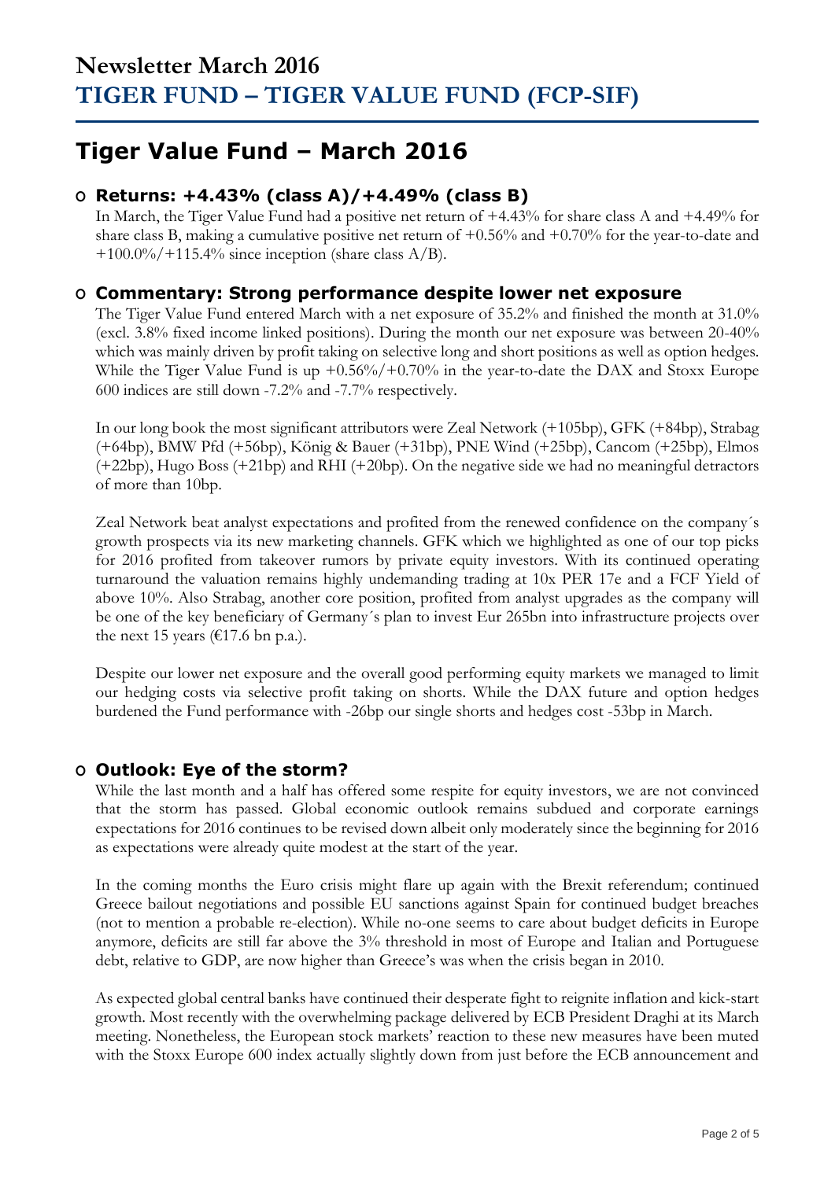## **Tiger Value Fund – March 2016**

## **O Returns: +4.43% (class A)/+4.49% (class B)**

In March, the Tiger Value Fund had a positive net return of +4.43% for share class A and +4.49% for share class B, making a cumulative positive net return of  $+0.56\%$  and  $+0.70\%$  for the year-to-date and  $+100.0\%/+115.4\%$  since inception (share class A/B).

### **O Commentary: Strong performance despite lower net exposure**

The Tiger Value Fund entered March with a net exposure of 35.2% and finished the month at 31.0% (excl. 3.8% fixed income linked positions). During the month our net exposure was between 20-40% which was mainly driven by profit taking on selective long and short positions as well as option hedges. While the Tiger Value Fund is up +0.56%/+0.70% in the year-to-date the DAX and Stoxx Europe 600 indices are still down -7.2% and -7.7% respectively.

In our long book the most significant attributors were Zeal Network (+105bp), GFK (+84bp), Strabag (+64bp), BMW Pfd (+56bp), König & Bauer (+31bp), PNE Wind (+25bp), Cancom (+25bp), Elmos (+22bp), Hugo Boss (+21bp) and RHI (+20bp). On the negative side we had no meaningful detractors of more than 10bp.

Zeal Network beat analyst expectations and profited from the renewed confidence on the company´s growth prospects via its new marketing channels. GFK which we highlighted as one of our top picks for 2016 profited from takeover rumors by private equity investors. With its continued operating turnaround the valuation remains highly undemanding trading at 10x PER 17e and a FCF Yield of above 10%. Also Strabag, another core position, profited from analyst upgrades as the company will be one of the key beneficiary of Germany´s plan to invest Eur 265bn into infrastructure projects over the next 15 years ( $\epsilon$ 17.6 bn p.a.).

Despite our lower net exposure and the overall good performing equity markets we managed to limit our hedging costs via selective profit taking on shorts. While the DAX future and option hedges burdened the Fund performance with -26bp our single shorts and hedges cost -53bp in March.

### **O Outlook: Eye of the storm?**

While the last month and a half has offered some respite for equity investors, we are not convinced that the storm has passed. Global economic outlook remains subdued and corporate earnings expectations for 2016 continues to be revised down albeit only moderately since the beginning for 2016 as expectations were already quite modest at the start of the year.

In the coming months the Euro crisis might flare up again with the Brexit referendum; continued Greece bailout negotiations and possible EU sanctions against Spain for continued budget breaches (not to mention a probable re-election). While no-one seems to care about budget deficits in Europe anymore, deficits are still far above the 3% threshold in most of Europe and Italian and Portuguese debt, relative to GDP, are now higher than Greece's was when the crisis began in 2010.

As expected global central banks have continued their desperate fight to reignite inflation and kick-start growth. Most recently with the overwhelming package delivered by ECB President Draghi at its March meeting. Nonetheless, the European stock markets' reaction to these new measures have been muted with the Stoxx Europe 600 index actually slightly down from just before the ECB announcement and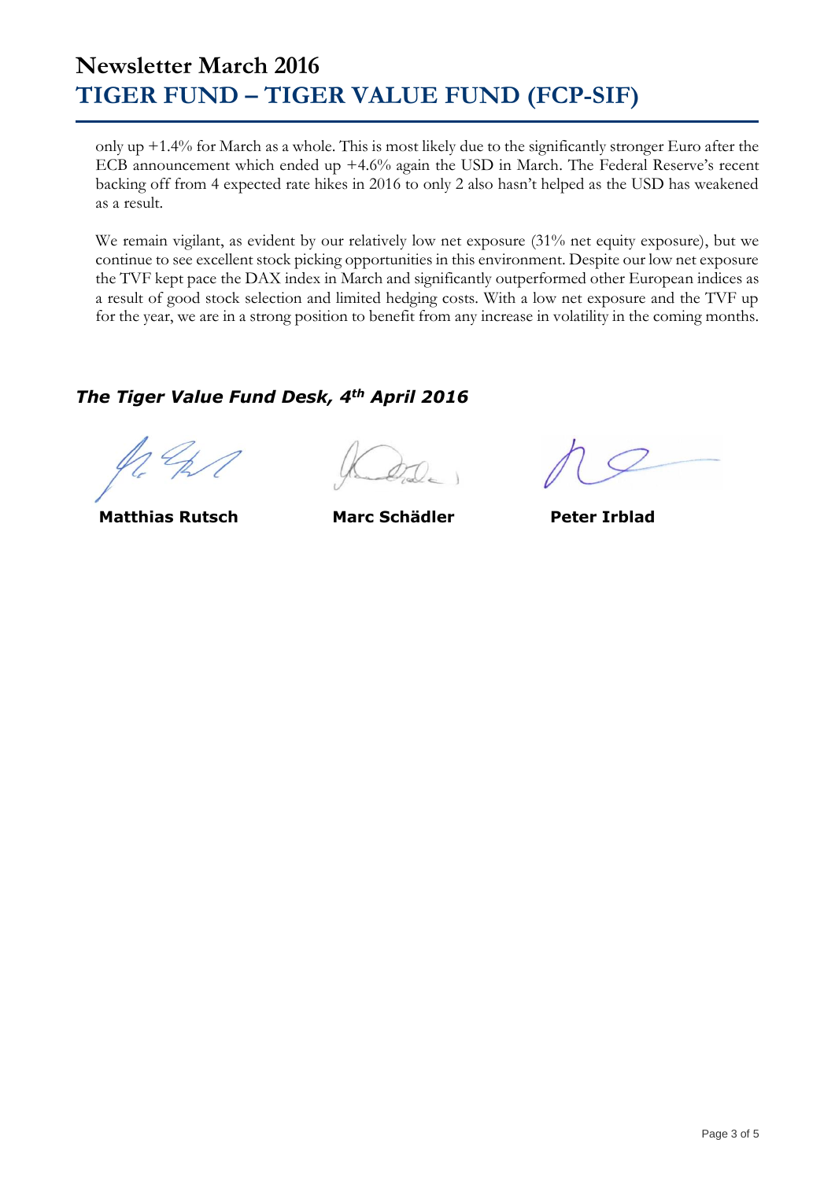## **Newsletter March 2016 TIGER FUND – TIGER VALUE FUND (FCP-SIF)**

only up +1.4% for March as a whole. This is most likely due to the significantly stronger Euro after the ECB announcement which ended up +4.6% again the USD in March. The Federal Reserve's recent backing off from 4 expected rate hikes in 2016 to only 2 also hasn't helped as the USD has weakened as a result.

We remain vigilant, as evident by our relatively low net exposure (31% net equity exposure), but we continue to see excellent stock picking opportunities in this environment. Despite our low net exposure the TVF kept pace the DAX index in March and significantly outperformed other European indices as a result of good stock selection and limited hedging costs. With a low net exposure and the TVF up for the year, we are in a strong position to benefit from any increase in volatility in the coming months.

### *The Tiger Value Fund Desk, 4th April 2016*

 **Matthias Rutsch Marc Schädler Peter Irblad**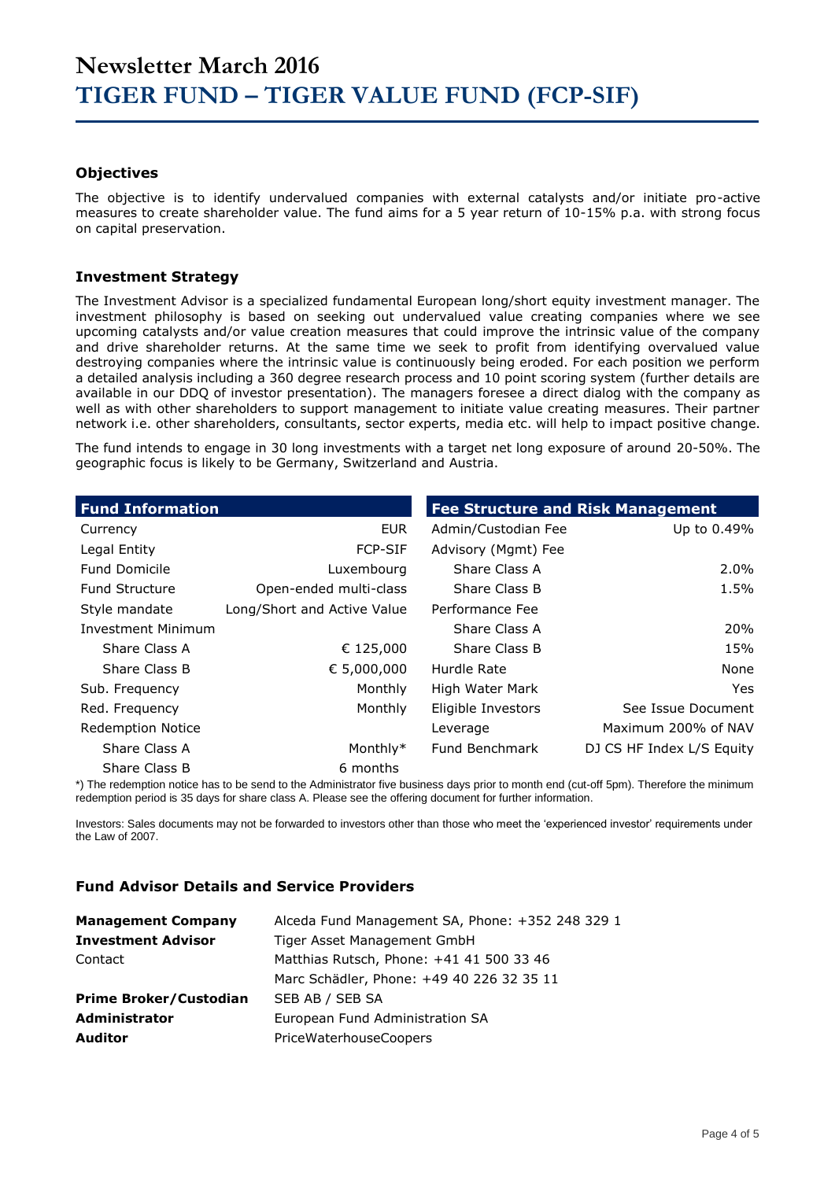#### **Objectives**

The objective is to identify undervalued companies with external catalysts and/or initiate pro-active measures to create shareholder value. The fund aims for a 5 year return of 10-15% p.a. with strong focus on capital preservation.

#### **Investment Strategy**

The Investment Advisor is a specialized fundamental European long/short equity investment manager. The investment philosophy is based on seeking out undervalued value creating companies where we see upcoming catalysts and/or value creation measures that could improve the intrinsic value of the company and drive shareholder returns. At the same time we seek to profit from identifying overvalued value destroying companies where the intrinsic value is continuously being eroded. For each position we perform a detailed analysis including a 360 degree research process and 10 point scoring system (further details are available in our DDQ of investor presentation). The managers foresee a direct dialog with the company as well as with other shareholders to support management to initiate value creating measures. Their partner network i.e. other shareholders, consultants, sector experts, media etc. will help to impact positive change.

The fund intends to engage in 30 long investments with a target net long exposure of around 20-50%. The geographic focus is likely to be Germany, Switzerland and Austria.

| <b>Fund Information</b>   |                             | <b>Fee Structure and Risk Management</b> |                           |  |  |  |
|---------------------------|-----------------------------|------------------------------------------|---------------------------|--|--|--|
| Currency                  | <b>EUR</b>                  | Admin/Custodian Fee                      | Up to 0.49%               |  |  |  |
| Legal Entity              | <b>FCP-SIF</b>              | Advisory (Mgmt) Fee                      |                           |  |  |  |
| <b>Fund Domicile</b>      | Luxembourg                  | Share Class A                            | $2.0\%$                   |  |  |  |
| <b>Fund Structure</b>     | Open-ended multi-class      | Share Class B                            | 1.5%                      |  |  |  |
| Style mandate             | Long/Short and Active Value | Performance Fee                          |                           |  |  |  |
| <b>Investment Minimum</b> |                             | Share Class A                            | <b>20%</b>                |  |  |  |
| Share Class A             | € 125,000                   | Share Class B                            | 15%                       |  |  |  |
| Share Class B             | € 5,000,000                 | Hurdle Rate                              | None                      |  |  |  |
| Sub. Frequency            | Monthly                     | High Water Mark                          | Yes.                      |  |  |  |
| Red. Frequency            | Monthly                     | Eligible Investors                       | See Issue Document        |  |  |  |
| <b>Redemption Notice</b>  |                             | Leverage                                 | Maximum 200% of NAV       |  |  |  |
| Share Class A             | Monthly*                    | Fund Benchmark                           | DJ CS HF Index L/S Equity |  |  |  |
| Share Class B             | 6 months                    |                                          |                           |  |  |  |

\*) The redemption notice has to be send to the Administrator five business days prior to month end (cut-off 5pm). Therefore the minimum redemption period is 35 days for share class A. Please see the offering document for further information.

Investors: Sales documents may not be forwarded to investors other than those who meet the 'experienced investor' requirements under the Law of 2007.

#### **Fund Advisor Details and Service Providers**

| <b>Management Company</b>     | Alceda Fund Management SA, Phone: +352 248 329 1 |
|-------------------------------|--------------------------------------------------|
| <b>Investment Advisor</b>     | Tiger Asset Management GmbH                      |
| Contact                       | Matthias Rutsch, Phone: +41 41 500 33 46         |
|                               | Marc Schädler, Phone: +49 40 226 32 35 11        |
| <b>Prime Broker/Custodian</b> | SEB AB / SEB SA                                  |
| Administrator                 | European Fund Administration SA                  |
| <b>Auditor</b>                | PriceWaterhouseCoopers                           |